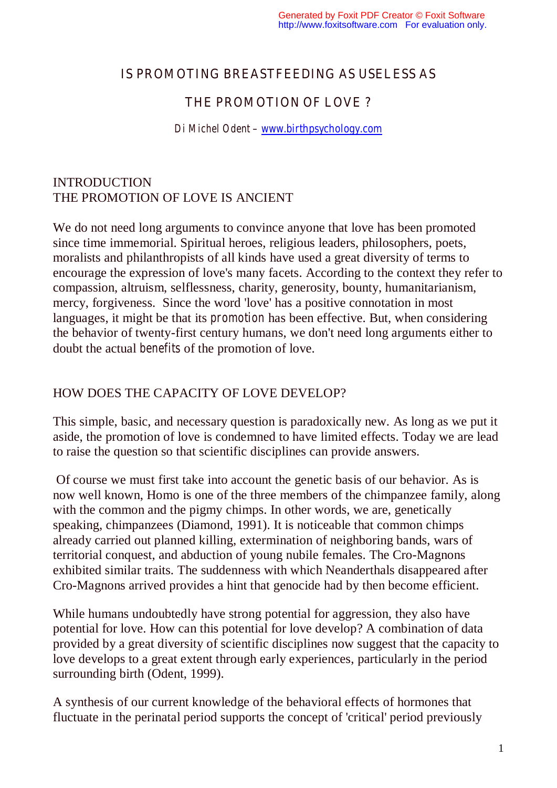### IS PROMOTING BREASTFEEDING AS USELESS AS

#### THE PROMOTION OF LOVE ?

*Di Michel Odent – www.birthpsychology.com*

# INTRODUCTION THE PROMOTION OF LOVE IS ANCIENT

We do not need long arguments to convince anyone that love has been promoted since time immemorial. Spiritual heroes, religious leaders, philosophers, poets, moralists and philanthropists of all kinds have used a great diversity of terms to encourage the expression of love's many facets. According to the context they refer to compassion, altruism, selflessness, charity, generosity, bounty, humanitarianism, mercy, forgiveness. Since the word 'love' has a positive connotation in most languages, it might be that its *promotion* has been effective. But, when considering the behavior of twenty-first century humans, we don't need long arguments either to doubt the actual *benefits* of the promotion of love.

### HOW DOES THE CAPACITY OF LOVE DEVELOP?

This simple, basic, and necessary question is paradoxically new. As long as we put it aside, the promotion of love is condemned to have limited effects. Today we are lead to raise the question so that scientific disciplines can provide answers.

 Of course we must first take into account the genetic basis of our behavior. As is now well known, Homo is one of the three members of the chimpanzee family, along with the common and the pigmy chimps. In other words, we are, genetically speaking, chimpanzees (Diamond, 1991). It is noticeable that common chimps already carried out planned killing, extermination of neighboring bands, wars of territorial conquest, and abduction of young nubile females. The Cro-Magnons exhibited similar traits. The suddenness with which Neanderthals disappeared after Cro-Magnons arrived provides a hint that genocide had by then become efficient.

While humans undoubtedly have strong potential for aggression, they also have potential for love. How can this potential for love develop? A combination of data provided by a great diversity of scientific disciplines now suggest that the capacity to love develops to a great extent through early experiences, particularly in the period surrounding birth (Odent, 1999).

A synthesis of our current knowledge of the behavioral effects of hormones that fluctuate in the perinatal period supports the concept of 'critical' period previously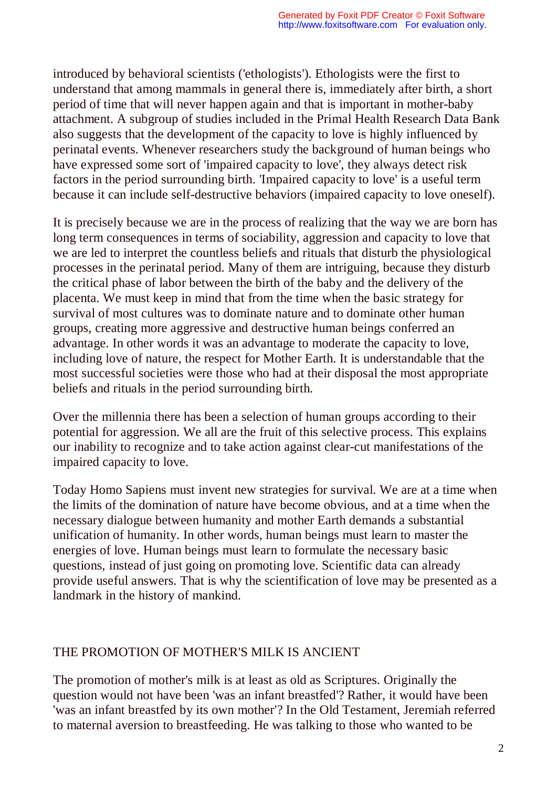introduced by behavioral scientists ('ethologists'). Ethologists were the first to understand that among mammals in general there is, immediately after birth, a short period of time that will never happen again and that is important in mother-baby attachment. A subgroup of studies included in the Primal Health Research Data Bank also suggests that the development of the capacity to love is highly influenced by perinatal events. Whenever researchers study the background of human beings who have expressed some sort of 'impaired capacity to love', they always detect risk factors in the period surrounding birth. 'Impaired capacity to love' is a useful term because it can include self-destructive behaviors (impaired capacity to love oneself).

It is precisely because we are in the process of realizing that the way we are born has long term consequences in terms of sociability, aggression and capacity to love that we are led to interpret the countless beliefs and rituals that disturb the physiological processes in the perinatal period. Many of them are intriguing, because they disturb the critical phase of labor between the birth of the baby and the delivery of the placenta. We must keep in mind that from the time when the basic strategy for survival of most cultures was to dominate nature and to dominate other human groups, creating more aggressive and destructive human beings conferred an advantage. In other words it was an advantage to moderate the capacity to love, including love of nature, the respect for Mother Earth. It is understandable that the most successful societies were those who had at their disposal the most appropriate beliefs and rituals in the period surrounding birth.

Over the millennia there has been a selection of human groups according to their potential for aggression. We all are the fruit of this selective process. This explains our inability to recognize and to take action against clear-cut manifestations of the impaired capacity to love.

Today Homo Sapiens must invent new strategies for survival. We are at a time when the limits of the domination of nature have become obvious, and at a time when the necessary dialogue between humanity and mother Earth demands a substantial unification of humanity. In other words, human beings must learn to master the energies of love. Human beings must learn to formulate the necessary basic questions, instead of just going on promoting love. Scientific data can already provide useful answers. That is why the scientification of love may be presented as a landmark in the history of mankind.

#### THE PROMOTION OF MOTHER'S MILK IS ANCIENT

The promotion of mother's milk is at least as old as Scriptures. Originally the question would not have been 'was an infant breastfed'? Rather, it would have been 'was an infant breastfed by its own mother'? In the Old Testament, Jeremiah referred to maternal aversion to breastfeeding. He was talking to those who wanted to be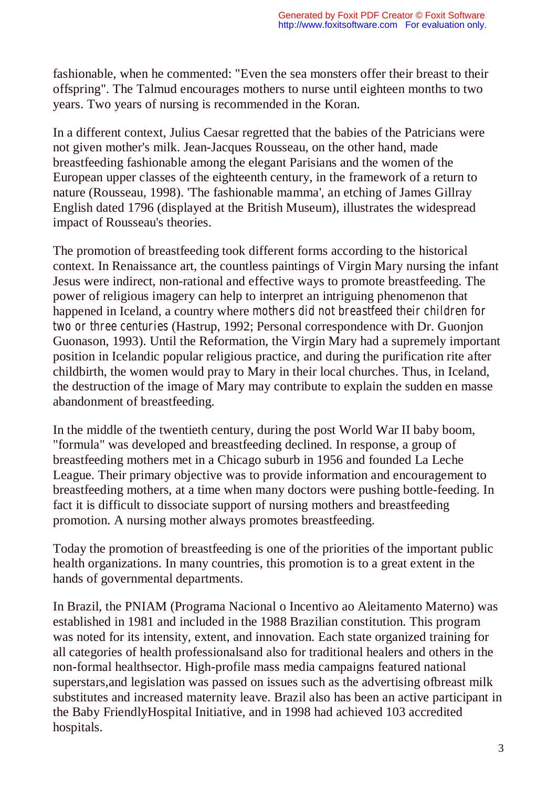fashionable, when he commented: "Even the sea monsters offer their breast to their offspring". The Talmud encourages mothers to nurse until eighteen months to two years. Two years of nursing is recommended in the Koran.

In a different context, Julius Caesar regretted that the babies of the Patricians were not given mother's milk. Jean-Jacques Rousseau, on the other hand, made breastfeeding fashionable among the elegant Parisians and the women of the European upper classes of the eighteenth century, in the framework of a return to nature (Rousseau, 1998). 'The fashionable mamma', an etching of James Gillray English dated 1796 (displayed at the British Museum), illustrates the widespread impact of Rousseau's theories.

The promotion of breastfeeding took different forms according to the historical context. In Renaissance art, the countless paintings of Virgin Mary nursing the infant Jesus were indirect, non-rational and effective ways to promote breastfeeding. The power of religious imagery can help to interpret an intriguing phenomenon that happened in Iceland, a country where *mothers did not breastfeed their children for two or three centuries* (Hastrup, 1992; Personal correspondence with Dr. Guonjon Guonason, 1993). Until the Reformation, the Virgin Mary had a supremely important position in Icelandic popular religious practice, and during the purification rite after childbirth, the women would pray to Mary in their local churches. Thus, in Iceland, the destruction of the image of Mary may contribute to explain the sudden en masse abandonment of breastfeeding.

In the middle of the twentieth century, during the post World War II baby boom, "formula" was developed and breastfeeding declined. In response, a group of breastfeeding mothers met in a Chicago suburb in 1956 and founded La Leche League. Their primary objective was to provide information and encouragement to breastfeeding mothers, at a time when many doctors were pushing bottle-feeding. In fact it is difficult to dissociate support of nursing mothers and breastfeeding promotion. A nursing mother always promotes breastfeeding.

Today the promotion of breastfeeding is one of the priorities of the important public health organizations. In many countries, this promotion is to a great extent in the hands of governmental departments.

In Brazil, the PNIAM (Programa Nacional o Incentivo ao Aleitamento Materno) was established in 1981 and included in the 1988 Brazilian constitution. This program was noted for its intensity, extent, and innovation. Each state organized training for all categories of health professionalsand also for traditional healers and others in the non-formal healthsector. High-profile mass media campaigns featured national superstars,and legislation was passed on issues such as the advertising ofbreast milk substitutes and increased maternity leave. Brazil also has been an active participant in the Baby FriendlyHospital Initiative, and in 1998 had achieved 103 accredited hospitals.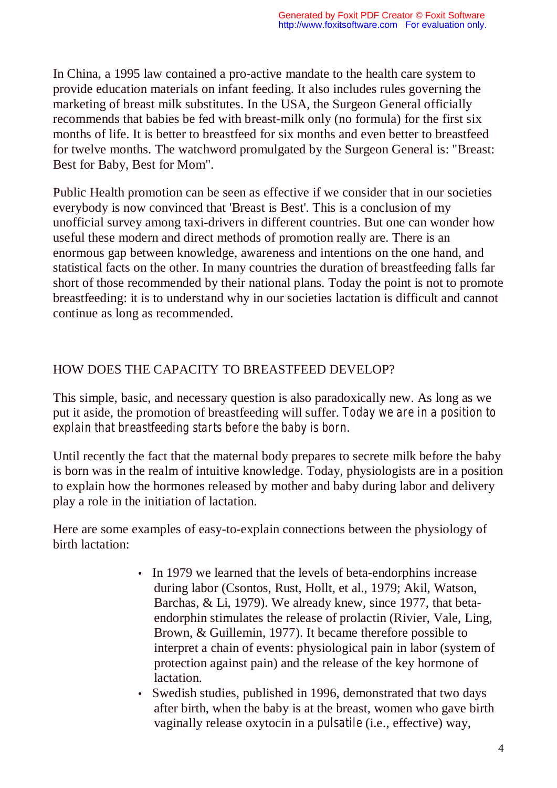In China, a 1995 law contained a pro-active mandate to the health care system to provide education materials on infant feeding. It also includes rules governing the marketing of breast milk substitutes. In the USA, the Surgeon General officially recommends that babies be fed with breast-milk only (no formula) for the first six months of life. It is better to breastfeed for six months and even better to breastfeed for twelve months. The watchword promulgated by the Surgeon General is: "Breast: Best for Baby, Best for Mom".

Public Health promotion can be seen as effective if we consider that in our societies everybody is now convinced that 'Breast is Best'. This is a conclusion of my unofficial survey among taxi-drivers in different countries. But one can wonder how useful these modern and direct methods of promotion really are. There is an enormous gap between knowledge, awareness and intentions on the one hand, and statistical facts on the other. In many countries the duration of breastfeeding falls far short of those recommended by their national plans. Today the point is not to promote breastfeeding: it is to understand why in our societies lactation is difficult and cannot continue as long as recommended.

## HOW DOES THE CAPACITY TO BREASTFEED DEVELOP?

This simple, basic, and necessary question is also paradoxically new. As long as we put it aside, the promotion of breastfeeding will suffer. *Today we are in a position to explain that breastfeeding starts before the baby is born.*

Until recently the fact that the maternal body prepares to secrete milk before the baby is born was in the realm of intuitive knowledge. Today, physiologists are in a position to explain how the hormones released by mother and baby during labor and delivery play a role in the initiation of lactation.

Here are some examples of easy-to-explain connections between the physiology of birth lactation:

- In 1979 we learned that the levels of beta-endorphins increase during labor (Csontos, Rust, Hollt, et al., 1979; Akil, Watson, Barchas, & Li, 1979). We already knew, since 1977, that betaendorphin stimulates the release of prolactin (Rivier, Vale, Ling, Brown, & Guillemin, 1977). It became therefore possible to interpret a chain of events: physiological pain in labor (system of protection against pain) and the release of the key hormone of lactation.
- Swedish studies, published in 1996, demonstrated that two days after birth, when the baby is at the breast, women who gave birth vaginally release oxytocin in a *pulsatile* (i.e., effective) way,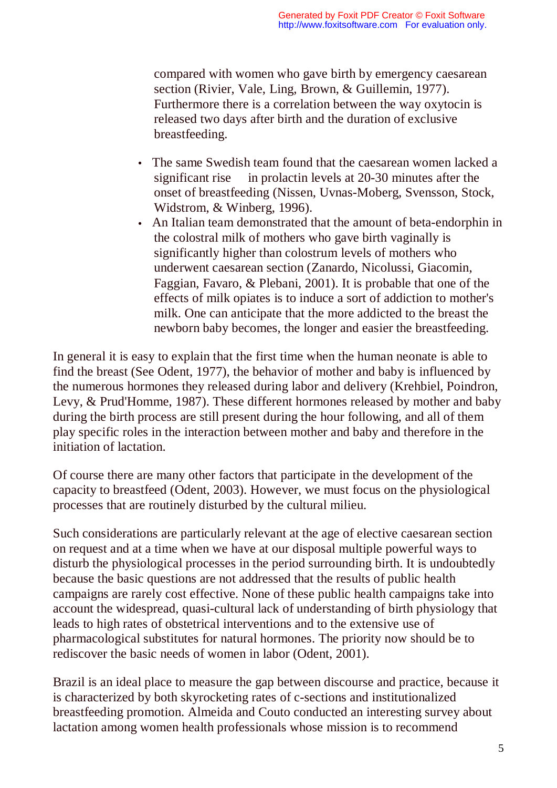compared with women who gave birth by emergency caesarean section (Rivier, Vale, Ling, Brown, & Guillemin, 1977). Furthermore there is a correlation between the way oxytocin is released two days after birth and the duration of exclusive breastfeeding.

- The same Swedish team found that the caesarean women lacked a significant rise in prolactin levels at 20-30 minutes after the onset of breastfeeding (Nissen, Uvnas-Moberg, Svensson, Stock, Widstrom, & Winberg, 1996).
- An Italian team demonstrated that the amount of beta-endorphin in the colostral milk of mothers who gave birth vaginally is significantly higher than colostrum levels of mothers who underwent caesarean section (Zanardo, Nicolussi, Giacomin, Faggian, Favaro, & Plebani, 2001). It is probable that one of the effects of milk opiates is to induce a sort of addiction to mother's milk. One can anticipate that the more addicted to the breast the newborn baby becomes, the longer and easier the breastfeeding.

In general it is easy to explain that the first time when the human neonate is able to find the breast (See Odent, 1977), the behavior of mother and baby is influenced by the numerous hormones they released during labor and delivery (Krehbiel, Poindron, Levy, & Prud'Homme, 1987). These different hormones released by mother and baby during the birth process are still present during the hour following, and all of them play specific roles in the interaction between mother and baby and therefore in the initiation of lactation.

Of course there are many other factors that participate in the development of the capacity to breastfeed (Odent, 2003). However, we must focus on the physiological processes that are routinely disturbed by the cultural milieu.

Such considerations are particularly relevant at the age of elective caesarean section on request and at a time when we have at our disposal multiple powerful ways to disturb the physiological processes in the period surrounding birth. It is undoubtedly because the basic questions are not addressed that the results of public health campaigns are rarely cost effective. None of these public health campaigns take into account the widespread, quasi-cultural lack of understanding of birth physiology that leads to high rates of obstetrical interventions and to the extensive use of pharmacological substitutes for natural hormones. The priority now should be to rediscover the basic needs of women in labor (Odent, 2001).

Brazil is an ideal place to measure the gap between discourse and practice, because it is characterized by both skyrocketing rates of c-sections and institutionalized breastfeeding promotion. Almeida and Couto conducted an interesting survey about lactation among women health professionals whose mission is to recommend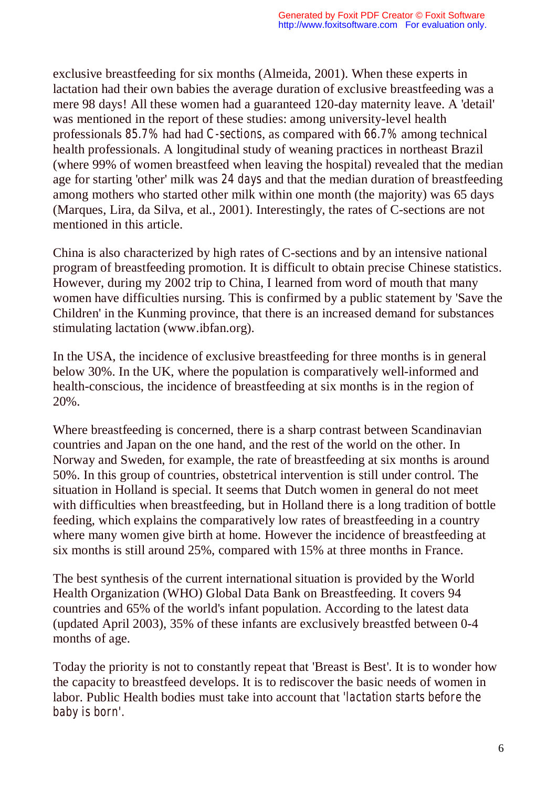exclusive breastfeeding for six months (Almeida, 2001). When these experts in lactation had their own babies the average duration of exclusive breastfeeding was a mere 98 days! All these women had a guaranteed 120-day maternity leave. A 'detail' was mentioned in the report of these studies: among university-level health professionals *85.7%* had had *C-sections*, as compared with *66.7%* among technical health professionals. A longitudinal study of weaning practices in northeast Brazil (where 99% of women breastfeed when leaving the hospital) revealed that the median age for starting 'other' milk was *24 days* and that the median duration of breastfeeding among mothers who started other milk within one month (the majority) was 65 days (Marques, Lira, da Silva, et al., 2001). Interestingly, the rates of C-sections are not mentioned in this article.

China is also characterized by high rates of C-sections and by an intensive national program of breastfeeding promotion. It is difficult to obtain precise Chinese statistics. However, during my 2002 trip to China, I learned from word of mouth that many women have difficulties nursing. This is confirmed by a public statement by 'Save the Children' in the Kunming province, that there is an increased demand for substances stimulating lactation (www.ibfan.org).

In the USA, the incidence of exclusive breastfeeding for three months is in general below 30%. In the UK, where the population is comparatively well-informed and health-conscious, the incidence of breastfeeding at six months is in the region of 20%.

Where breastfeeding is concerned, there is a sharp contrast between Scandinavian countries and Japan on the one hand, and the rest of the world on the other. In Norway and Sweden, for example, the rate of breastfeeding at six months is around 50%. In this group of countries, obstetrical intervention is still under control. The situation in Holland is special. It seems that Dutch women in general do not meet with difficulties when breastfeeding, but in Holland there is a long tradition of bottle feeding, which explains the comparatively low rates of breastfeeding in a country where many women give birth at home. However the incidence of breastfeeding at six months is still around 25%, compared with 15% at three months in France.

The best synthesis of the current international situation is provided by the World Health Organization (WHO) Global Data Bank on Breastfeeding. It covers 94 countries and 65% of the world's infant population. According to the latest data (updated April 2003), 35% of these infants are exclusively breastfed between 0-4 months of age.

Today the priority is not to constantly repeat that 'Breast is Best'. It is to wonder how the capacity to breastfeed develops. It is to rediscover the basic needs of women in labor. Public Health bodies must take into account that *'lactation starts before the baby is born'.*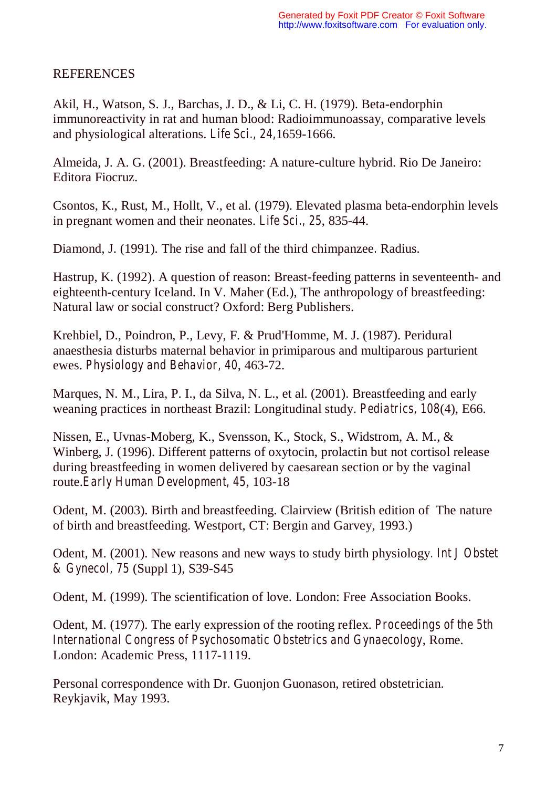#### **REFERENCES**

Akil, H., Watson, S. J., Barchas, J. D., & Li, C. H. (1979). Beta-endorphin immunoreactivity in rat and human blood: Radioimmunoassay, comparative levels and physiological alterations. *Life Sci., 24,*1659-1666.

Almeida, J. A. G. (2001). Breastfeeding: A nature-culture hybrid. Rio De Janeiro: Editora Fiocruz.

Csontos, K., Rust, M., Hollt, V., et al. (1979). Elevated plasma beta-endorphin levels in pregnant women and their neonates. *Life Sci., 25*, 835-44.

Diamond, J. (1991). The rise and fall of the third chimpanzee*.* Radius.

Hastrup, K. (1992). A question of reason: Breast-feeding patterns in seventeenth- and eighteenth-century Iceland. In V. Maher (Ed.), The anthropology of breastfeeding: Natural law or social construct? Oxford: Berg Publishers.

Krehbiel, D., Poindron, P., Levy, F. & Prud'Homme, M. J. (1987). Peridural anaesthesia disturbs maternal behavior in primiparous and multiparous parturient ewes. *Physiology and Behavior, 40*, 463-72.

Marques, N. M., Lira, P. I., da Silva, N. L., et al. (2001). Breastfeeding and early weaning practices in northeast Brazil: Longitudinal study. *Pediatrics, 108*(4), E66.

Nissen, E., Uvnas-Moberg, K., Svensson, K., Stock, S., Widstrom, A. M., & Winberg, J. (1996). Different patterns of oxytocin, prolactin but not cortisol release during breastfeeding in women delivered by caesarean section or by the vaginal route.*Early Human Development, 45*, 103-18

Odent, M. (2003). Birth and breastfeeding. Clairview (British edition of The nature of birth and breastfeeding. Westport, CT: Bergin and Garvey, 1993.)

Odent, M. (2001). New reasons and new ways to study birth physiology*. Int J Obstet & Gynecol, 75* (Suppl 1), S39-S45

Odent, M. (1999). The scientification of love. London: Free Association Books.

Odent, M. (1977). The early expression of the rooting reflex. *Proceedings of the 5th International Congress of Psychosomatic Obstetrics and Gynaecology*, Rome. London: Academic Press, 1117-1119.

Personal correspondence with Dr. Guonjon Guonason, retired obstetrician. Reykjavik, May 1993.